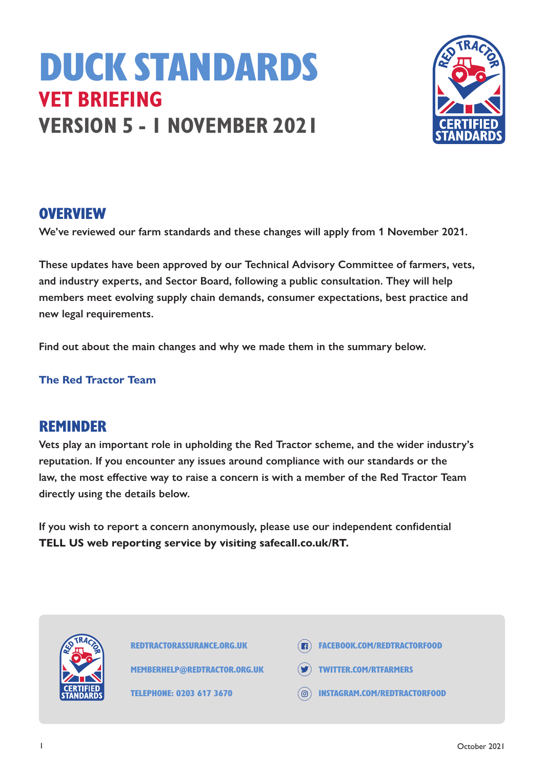# DUCK STANDARDS **VET BRIEFING VERSION 5 - 1 NOVEMBER 2021**



#### **OVERVIEW**

**We've reviewed our farm standards and these changes will apply from 1 November 2021.**

**These updates have been approved by our Technical Advisory Committee of farmers, vets, and industry experts, and Sector Board, following a public consultation. They will help members meet evolving supply chain demands, consumer expectations, best practice and new legal requirements.** 

**Find out about the main changes and why we made them in the summary below.**

#### **The Red Tractor Team**

#### REMINDER

**Vets play an important role in upholding the Red Tractor scheme, and the wider industry's reputation. If you encounter any issues around compliance with our standards or the law, the most effective way to raise a concern is with a member of the Red Tractor Team directly using the details below.**

**If you wish to report a concern anonymously, please use our independent confidential TELL US web reporting service by visiting safecall.co.uk/RT.**



REDTRACTORASSURANCE.ORG.UK

MEMBERHELP@REDTRACTOR.ORG.UK

TELEPHONE: 0203 617 3670

- **ER FACEBOOK.COM/REDTRACTORFOOD**
- TWITTER.COM/RTFARMERS
- INSTAGRAM.COM/REDTRACTORFOOD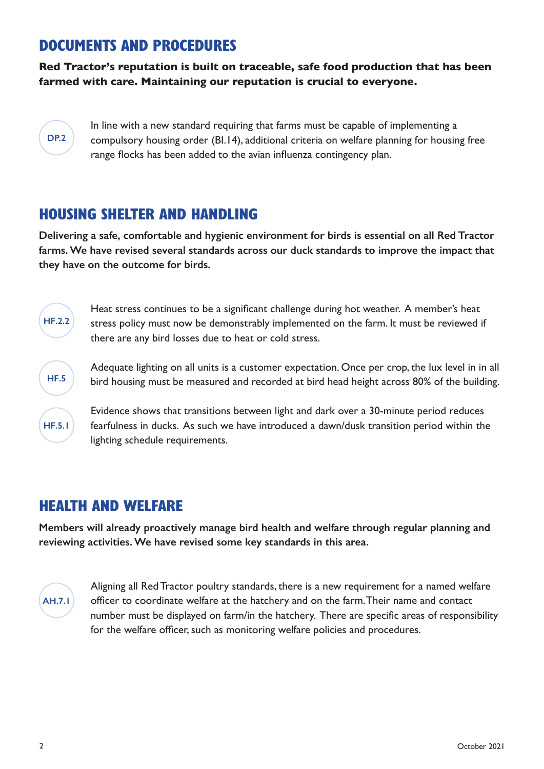## DOCUMENTS AND PROCEDURES

**Red Tractor's reputation is built on traceable, safe food production that has been farmed with care. Maintaining our reputation is crucial to everyone.** 

#### **DP.2**

**HF.2.2**

**HF.5**

**HF.5.1**

In line with a new standard requiring that farms must be capable of implementing a compulsory housing order (BI.14), additional criteria on welfare planning for housing free range flocks has been added to the avian influenza contingency plan.

## HOUSING SHELTER AND HANDLING

**Delivering a safe, comfortable and hygienic environment for birds is essential on all Red Tractor farms. We have revised several standards across our duck standards to improve the impact that they have on the outcome for birds.** 

Heat stress continues to be a significant challenge during hot weather. A member's heat stress policy must now be demonstrably implemented on the farm. It must be reviewed if there are any bird losses due to heat or cold stress.

Adequate lighting on all units is a customer expectation. Once per crop, the lux level in in all bird housing must be measured and recorded at bird head height across 80% of the building.

Evidence shows that transitions between light and dark over a 30-minute period reduces fearfulness in ducks. As such we have introduced a dawn/dusk transition period within the lighting schedule requirements.

## HEALTH AND WELFARE

**Members will already proactively manage bird health and welfare through regular planning and reviewing activities. We have revised some key standards in this area.** 



Aligning all Red Tractor poultry standards, there is a new requirement for a named welfare officer to coordinate welfare at the hatchery and on the farm. Their name and contact number must be displayed on farm/in the hatchery. There are specific areas of responsibility for the welfare officer, such as monitoring welfare policies and procedures.